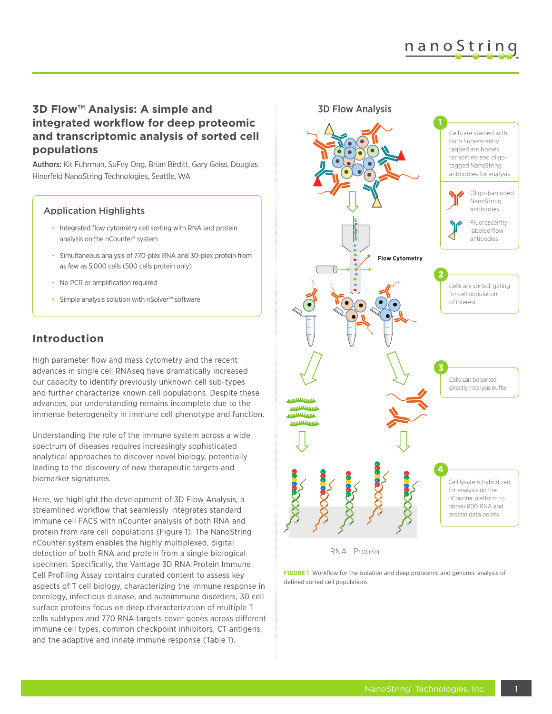# nanoString

### **3D Flow™ Analysis: A simple and integrated workflow for deep proteomic and transcriptomic analysis of sorted cell populations**

Authors: Kit Fuhrman, SuFey Ong, Brian Birditt, Gary Geiss, Douglas Hinerfeld NanoString Technologies, Seattle, WA

#### Application Highlights

- Integrated flow cytometry cell sorting with RNA and protein analysis on the nCounter® system
- Simultaneous analysis of 770-plex RNA and 30-plex protein from as few as 5,000 cells (500 cells protein only)
- No PCR or amplification required
- Simple analysis solution with nSolver™ software

#### **Introduction**

High parameter flow and mass cytometry and the recent advances in single cell RNAseq have dramatically increased our capacity to identify previously unknown cell sub-types and further characterize known cell populations. Despite these advances, our understanding remains incomplete due to the immense heterogeneity in immune cell phenotype and function.

Understanding the role of the immune system across a wide spectrum of diseases requires increasingly sophisticated analytical approaches to discover novel biology, potentially leading to the discovery of new therapeutic targets and biomarker signatures.

Here, we highlight the development of 3D Flow Analysis, a streamlined workflow that seamlessly integrates standard immune cell FACS with nCounter analysis of both RNA and protein from rare cell populations (Figure 1). The NanoString nCounter system enables the highly multiplexed, digital detection of both RNA and protein from a single biological specimen. Specifically, the Vantage 3D RNA:Protein Immune Cell Profiling Assay contains curated content to assess key aspects of T cell biology, characterizing the immune response in oncology, infectious disease, and autoimmune disorders, 30 cell surface proteins focus on deep characterization of multiple T cells subtypes and 770 RNA targets cover genes across different immune cell types, common checkpoint inhibitors, CT antigens, and the adaptive and innate immune response (Table 1).



RNA | Protein

**FIGURE 1** Workflow for the isolation and deep proteomic and genomic analysis of defined sorted cell populations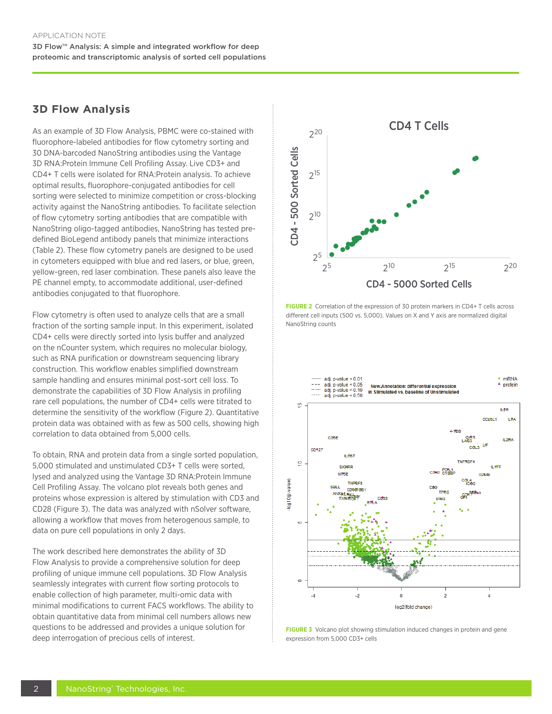#### **3D Flow Analysis**

As an example of 3D Flow Analysis, PBMC were co-stained with fluorophore-labeled antibodies for flow cytometry sorting and 30 DNA-barcoded NanoString antibodies using the Vantage 3D RNA:Protein Immune Cell Profiling Assay. Live CD3+ and CD4+ T cells were isolated for RNA:Protein analysis. To achieve optimal results, fluorophore-conjugated antibodies for cell sorting were selected to minimize competition or cross-blocking activity against the NanoString antibodies. To facilitate selection of flow cytometry sorting antibodies that are compatible with NanoString oligo-tagged antibodies, NanoString has tested predefined BioLegend antibody panels that minimize interactions (Table 2). These flow cytometry panels are designed to be used in cytometers equipped with blue and red lasers, or blue, green, yellow-green, red laser combination. These panels also leave the PE channel empty, to accommodate additional, user-defined antibodies conjugated to that fluorophore.

Flow cytometry is often used to analyze cells that are a small fraction of the sorting sample input. In this experiment, isolated CD4+ cells were directly sorted into lysis buffer and analyzed on the nCounter system, which requires no molecular biology, such as RNA purification or downstream sequencing library construction. This workflow enables simplified downstream sample handling and ensures minimal post-sort cell loss. To demonstrate the capabilities of 3D Flow Analysis in profiling rare cell populations, the number of CD4+ cells were titrated to determine the sensitivity of the workflow (Figure 2). Quantitative protein data was obtained with as few as 500 cells, showing high correlation to data obtained from 5,000 cells.

To obtain, RNA and protein data from a single sorted population, 5,000 stimulated and unstimulated CD3+ T cells were sorted, lysed and analyzed using the Vantage 3D RNA:Protein Immune Cell Profiling Assay. The volcano plot reveals both genes and proteins whose expression is altered by stimulation with CD3 and CD28 (Figure 3). The data was analyzed with nSolver software, allowing a workflow that moves from heterogenous sample, to data on pure cell populations in only 2 days.

The work described here demonstrates the ability of 3D Flow Analysis to provide a comprehensive solution for deep profiling of unique immune cell populations. 3D Flow Analysis seamlessly integrates with current flow sorting protocols to enable collection of high parameter, multi-omic data with minimal modifications to current FACS workflows. The ability to obtain quantitative data from minimal cell numbers allows new questions to be addressed and provides a unique solution for deep interrogation of precious cells of interest.



**FIGURE 2** Correlation of the expression of 30 protein markers in CD4+ T cells across different cell inputs (500 vs. 5,000). Values on X and Y axis are normalized digital NanoString counts



**FIGURE 3** Volcano plot showing stimulation induced changes in protein and gene expression from 5,000 CD3+ cells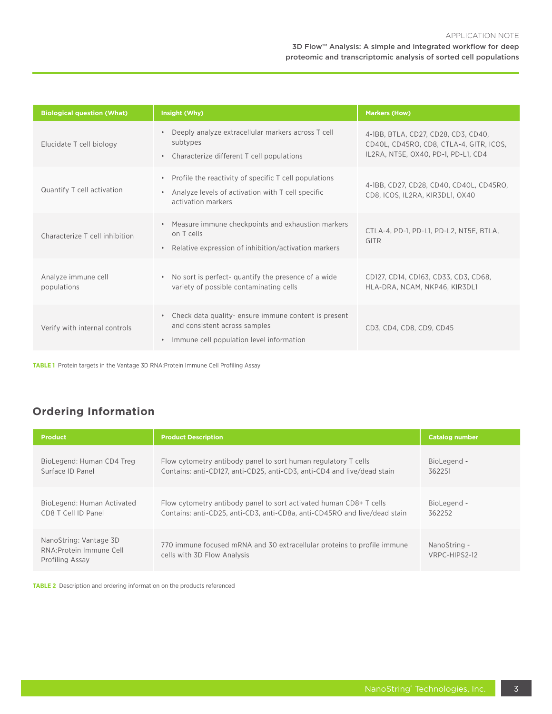#### 3D Flow™ Analysis: A simple and integrated workflow for deep proteomic and transcriptomic analysis of sorted cell populations

| <b>Biological question (What)</b>  | Insight (Why)                                                                                                                                              | <b>Markers (How)</b>                                                                                                  |  |
|------------------------------------|------------------------------------------------------------------------------------------------------------------------------------------------------------|-----------------------------------------------------------------------------------------------------------------------|--|
| Elucidate T cell biology           | Deeply analyze extracellular markers across T cell<br>$\bullet$<br>subtypes<br>Characterize different T cell populations<br>$\bullet$                      | 4-1BB, BTLA, CD27, CD28, CD3, CD40,<br>CD40L, CD45RO, CD8, CTLA-4, GITR, ICOS,<br>IL2RA, NT5E, OX40, PD-1, PD-L1, CD4 |  |
| Quantify T cell activation         | Profile the reactivity of specific T cell populations<br>$\bullet$<br>Analyze levels of activation with T cell specific<br>$\bullet$<br>activation markers | 4-1BB, CD27, CD28, CD40, CD40L, CD45RO,<br>CD8, ICOS, IL2RA, KIR3DL1, OX40                                            |  |
| Characterize T cell inhibition     | Measure immune checkpoints and exhaustion markers<br>$\bullet$<br>on T cells<br>Relative expression of inhibition/activation markers<br>$\bullet$          | CTLA-4, PD-1, PD-L1, PD-L2, NT5E, BTLA,<br>GITR                                                                       |  |
| Analyze immune cell<br>populations | • No sort is perfect-quantify the presence of a wide<br>variety of possible contaminating cells                                                            | CD127, CD14, CD163, CD33, CD3, CD68,<br>HLA-DRA, NCAM, NKP46, KIR3DL1                                                 |  |
| Verify with internal controls      | • Check data quality- ensure immune content is present<br>and consistent across samples<br>Immune cell population level information<br>$\bullet$           | CD3, CD4, CD8, CD9, CD45                                                                                              |  |

**TABLE 1** Protein targets in the Vantage 3D RNA:Protein Immune Cell Profiling Assay

## **Ordering Information**

| <b>Product</b>                                                        | <b>Product Description</b>                                                                             | <b>Catalog number</b>         |
|-----------------------------------------------------------------------|--------------------------------------------------------------------------------------------------------|-------------------------------|
| BioLegend: Human CD4 Treg                                             | Flow cytometry antibody panel to sort human regulatory T cells                                         | BioLegend -                   |
| Surface ID Panel                                                      | Contains: anti-CD127, anti-CD25, anti-CD3, anti-CD4 and live/dead stain                                | 362251                        |
| BioLegend: Human Activated                                            | Flow cytometry antibody panel to sort activated human CD8+ T cells                                     | BioLegend -                   |
| CD8 T Cell ID Panel                                                   | Contains: anti-CD25, anti-CD3, anti-CD8a, anti-CD45RO and live/dead stain                              | 362252                        |
| NanoString: Vantage 3D<br>RNA: Protein Immune Cell<br>Profiling Assay | 770 immune focused mRNA and 30 extracellular proteins to profile immune<br>cells with 3D Flow Analysis | NanoString -<br>VRPC-HIPS2-12 |

**TABLE 2** Description and ordering information on the products referenced